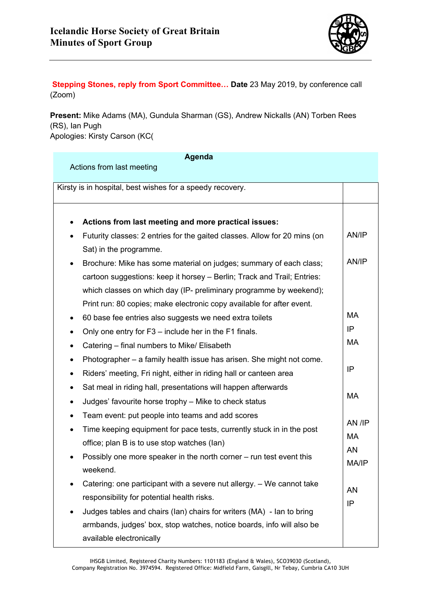

**Stepping Stones, reply from Sport Committee… Date** 23 May 2019, by conference call (Zoom)

**Present:** Mike Adams (MA), Gundula Sharman (GS), Andrew Nickalls (AN) Torben Rees (RS), Ian Pugh Apologies: Kirsty Carson (KC(

| Agenda                                                                                 |        |
|----------------------------------------------------------------------------------------|--------|
| Actions from last meeting                                                              |        |
| Kirsty is in hospital, best wishes for a speedy recovery.                              |        |
|                                                                                        |        |
| Actions from last meeting and more practical issues:                                   |        |
| Futurity classes: 2 entries for the gaited classes. Allow for 20 mins (on<br>$\bullet$ | AN/IP  |
| Sat) in the programme.                                                                 |        |
|                                                                                        | AN/IP  |
| Brochure: Mike has some material on judges; summary of each class;<br>٠                |        |
| cartoon suggestions: keep it horsey - Berlin; Track and Trail; Entries:                |        |
| which classes on which day (IP- preliminary programme by weekend);                     |        |
| Print run: 80 copies; make electronic copy available for after event.                  |        |
| 60 base fee entries also suggests we need extra toilets                                | MA     |
| Only one entry for F3 – include her in the F1 finals.<br>٠                             | IP     |
| Catering - final numbers to Mike/ Elisabeth<br>٠                                       | МA     |
| Photographer – a family health issue has arisen. She might not come.<br>٠              |        |
| Riders' meeting, Fri night, either in riding hall or canteen area<br>٠                 | IP     |
| Sat meal in riding hall, presentations will happen afterwards<br>٠                     |        |
| Judges' favourite horse trophy - Mike to check status<br>٠                             | MA     |
| Team event: put people into teams and add scores<br>٠                                  |        |
| Time keeping equipment for pace tests, currently stuck in in the post<br>٠             | AN /IP |
| office; plan B is to use stop watches (lan)                                            | MA     |
| Possibly one more speaker in the north corner – run test event this                    | AN     |
| weekend.                                                                               | MA/IP  |
| Catering: one participant with a severe nut allergy. - We cannot take                  |        |
| responsibility for potential health risks.                                             | AN     |
| Judges tables and chairs (lan) chairs for writers (MA) - lan to bring                  | IP     |
| armbands, judges' box, stop watches, notice boards, info will also be                  |        |
| available electronically                                                               |        |
|                                                                                        |        |